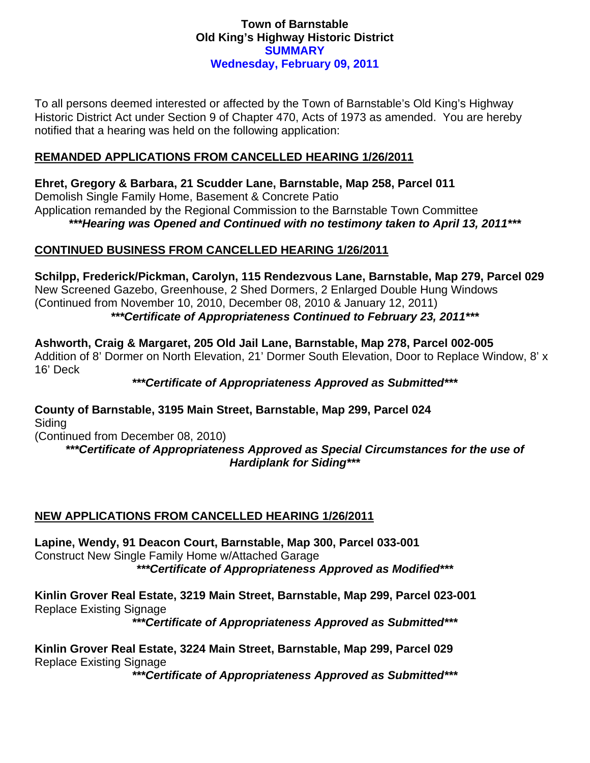# **Town of Barnstable Old King's Highway Historic District SUMMARY Wednesday, February 09, 2011**

To all persons deemed interested or affected by the Town of Barnstable's Old King's Highway Historic District Act under Section 9 of Chapter 470, Acts of 1973 as amended. You are hereby notified that a hearing was held on the following application:

# **REMANDED APPLICATIONS FROM CANCELLED HEARING 1/26/2011**

**Ehret, Gregory & Barbara, 21 Scudder Lane, Barnstable, Map 258, Parcel 011**  Demolish Single Family Home, Basement & Concrete Patio Application remanded by the Regional Commission to the Barnstable Town Committee *\*\*\*Hearing was Opened and Continued with no testimony taken to April 13, 2011\*\*\** 

# **CONTINUED BUSINESS FROM CANCELLED HEARING 1/26/2011**

**Schilpp, Frederick/Pickman, Carolyn, 115 Rendezvous Lane, Barnstable, Map 279, Parcel 029**  New Screened Gazebo, Greenhouse, 2 Shed Dormers, 2 Enlarged Double Hung Windows (Continued from November 10, 2010, December 08, 2010 & January 12, 2011) *\*\*\*Certificate of Appropriateness Continued to February 23, 2011\*\*\** 

**Ashworth, Craig & Margaret, 205 Old Jail Lane, Barnstable, Map 278, Parcel 002-005**  Addition of 8' Dormer on North Elevation, 21' Dormer South Elevation, Door to Replace Window, 8' x 16' Deck

*\*\*\*Certificate of Appropriateness Approved as Submitted\*\*\** 

**County of Barnstable, 3195 Main Street, Barnstable, Map 299, Parcel 024**  Siding

(Continued from December 08, 2010)

*\*\*\*Certificate of Appropriateness Approved as Special Circumstances for the use of Hardiplank for Siding\*\*\** 

## **NEW APPLICATIONS FROM CANCELLED HEARING 1/26/2011**

**Lapine, Wendy, 91 Deacon Court, Barnstable, Map 300, Parcel 033-001**  Construct New Single Family Home w/Attached Garage *\*\*\*Certificate of Appropriateness Approved as Modified\*\*\** 

**Kinlin Grover Real Estate, 3219 Main Street, Barnstable, Map 299, Parcel 023-001**  Replace Existing Signage

*\*\*\*Certificate of Appropriateness Approved as Submitted\*\*\** 

**Kinlin Grover Real Estate, 3224 Main Street, Barnstable, Map 299, Parcel 029**  Replace Existing Signage

*\*\*\*Certificate of Appropriateness Approved as Submitted\*\*\**